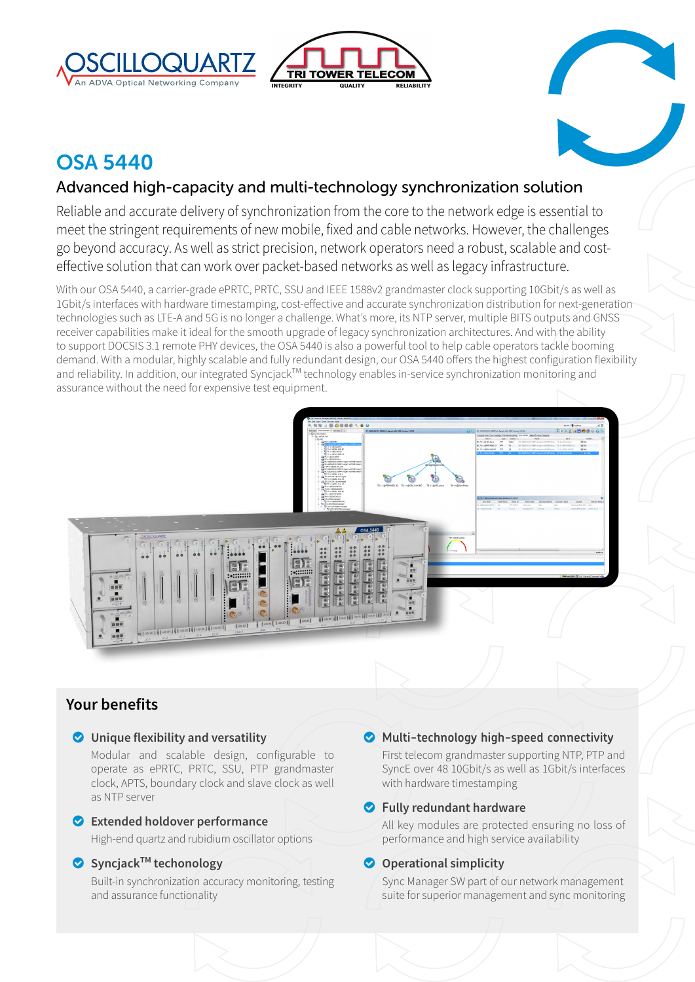





# OSA 5440

# Advanced high-capacity and multi-technology synchronization solution

Reliable and accurate delivery of synchronization from the core to the network edge is essential to meet the stringent requirements of new mobile, fixed and cable networks. However, the challenges go beyond accuracy. As well as strict precision, network operators need a robust, scalable and costeffective solution that can work over packet-based networks as well as legacy infrastructure.

With our OSA 5440, a carrier-grade ePRTC, PRTC, SSU and IEEE 1588v2 grandmaster clock supporting 10Gbit/s as well as 1Gbit/s interfaces with hardware timestamping, cost-effective and accurate synchronization distribution for next-generation technologies such as LTE-A and 5G is no longer a challenge. What's more, its NTP server, multiple BITS outputs and GNSS receiver capabilities make it ideal for the smooth upgrade of legacy synchronization architectures. And with the ability to support DOCSIS 3.1 remote PHY devices, the OSA 5440 is also a powerful tool to help cable operators tackle booming demand. With a modular, highly scalable and fully redundant design, our OSA 5440 offers the highest configuration flexibility and reliability. In addition, our integrated Syncjack<sup>TM</sup> technology enables in-service synchronization monitoring and assurance without the need for expensive test equipment.



# **Your benefits**

# o **Unique flexibility and versatility**

Modular and scalable design, configurable to operate as ePRTC, PRTC, SSU, PTP grandmaster clock, APTS, boundary clock and slave clock as well as NTP server

# o **Extended holdover performance**

High-end quartz and rubidium oscillator options

# o **SyncjackTM techonology**

Built-in synchronization accuracy monitoring, testing and assurance functionality

# o **Multi-technology high-speed connectivity**

First telecom grandmaster supporting NTP, PTP and SyncE over 48 10Gbit/s as well as 1Gbit/s interfaces with hardware timestamping

# o **Fully redundant hardware**

All key modules are protected ensuring no loss of performance and high service availability

# $\bullet$  Operational simplicity

Sync Manager SW part of our network management suite for superior management and sync monitoring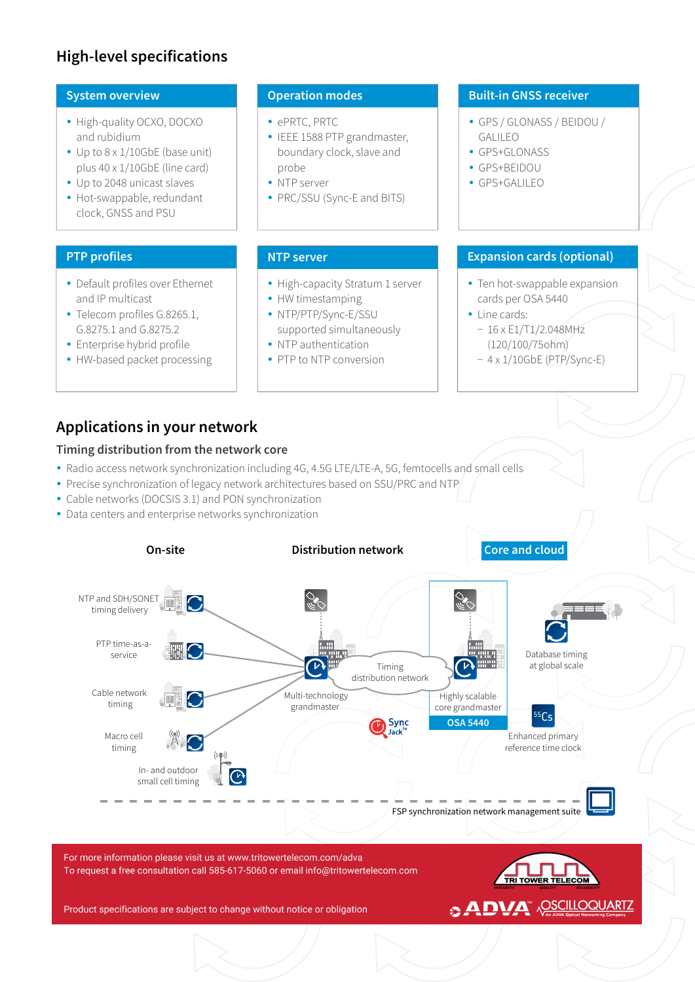# **High-level specifications**

### **System overview**

- High-quality OCXO, DOCXO and rubidium
- $\cdot$  Up to 8 x 1/10GbE (base unit) plus 40 x 1/10GbE (line card)
- Up to 2048 unicast slaves
- Hot-swappable, redundant clock, GNSS and PSU

# **PTP profiles**

- Default profiles over Ethernet and IP multicast
- Telecom profiles G.8265.1, G.8275.1 and G.8275.2
- Enterprise hybrid profile
- HW-based packet processing

# **Operation modes**

- ePRTC, PRTC
- IEEE 1588 PTP grandmaster, boundary clock, slave and probe
- NTP server
- PRC/SSU (Sync-E and BITS)

- High-capacity Stratum 1 server
- HW timestamping
- NTP/PTP/Sync-E/SSU supported simultaneously
- NTP authentication
- PTP to NTP conversion

#### **Built-in GNSS receiver**

- y GPS / GLONASS / BEIDOU / GALILEO
- GPS+GLONASS
- GPS+BEIDOU
- GPS+GALILEO

# **NTP server Expansion cards (optional)**

- Ten hot-swappable expansion cards per OSA 5440
- Line cards:
- − 16 x E1/T1/2.048MHz (120/100/75ohm)
- − 4 x 1/10GbE (PTP/Sync-E)

# **Applications in your network**

### **Timing distribution from the network core**

- Radio access network synchronization including 4G, 4.5G LTE/LTE-A, 5G, femtocells and small cells
- Precise synchronization of legacy network architectures based on SSU/PRC and NTP
- Cable networks (DOCSIS 3.1) and PON synchronization
- Data centers and enterprise networks synchronization

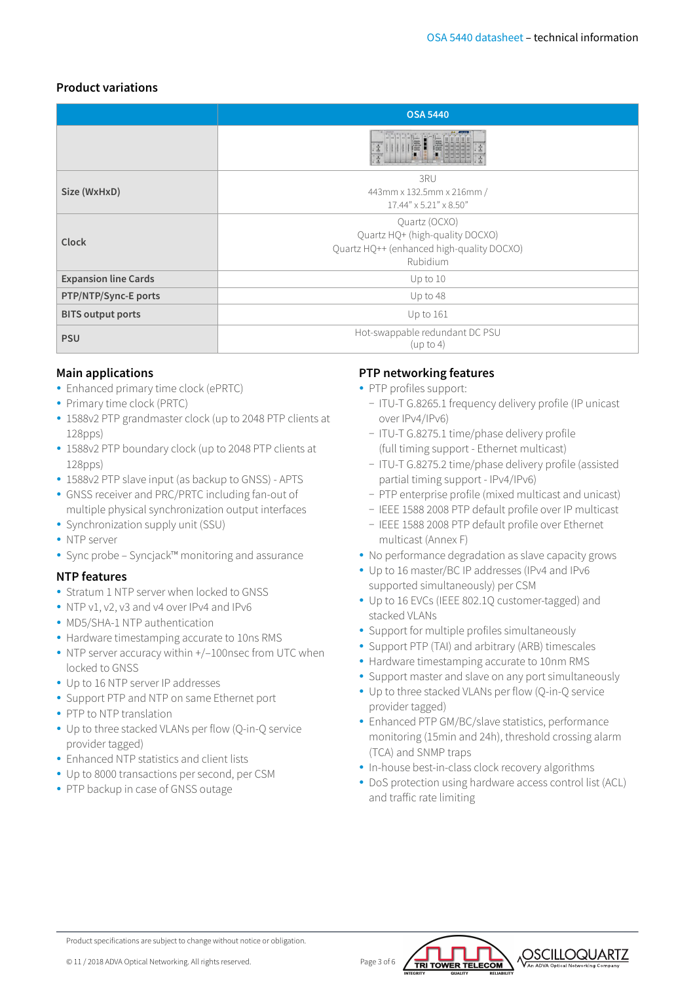# **Product variations**

|                             | <b>OSA 5440</b>                                                                                           |  |  |  |  |
|-----------------------------|-----------------------------------------------------------------------------------------------------------|--|--|--|--|
|                             |                                                                                                           |  |  |  |  |
| Size (WxHxD)                | 3RU<br>443mm x 132.5mm x 216mm /<br>$17.44'' \times 5.21'' \times 8.50''$                                 |  |  |  |  |
| Clock                       | Quartz (OCXO)<br>Quartz HQ+ (high-quality DOCXO)<br>Quartz HQ++ (enhanced high-quality DOCXO)<br>Rubidium |  |  |  |  |
| <b>Expansion line Cards</b> | $Up$ to $10$                                                                                              |  |  |  |  |
| PTP/NTP/Sync-E ports        | Up to 48                                                                                                  |  |  |  |  |
| <b>BITS output ports</b>    | Up to $161$                                                                                               |  |  |  |  |
| <b>PSU</b>                  | Hot-swappable redundant DC PSU<br>(up to 4)                                                               |  |  |  |  |

# **Main applications**

- Enhanced primary time clock (ePRTC)
- Primary time clock (PRTC)
- 1588v2 PTP grandmaster clock (up to 2048 PTP clients at 128pps)
- 1588v2 PTP boundary clock (up to 2048 PTP clients at 128pps)
- 1588v2 PTP slave input (as backup to GNSS) APTS
- GNSS receiver and PRC/PRTC including fan-out of multiple physical synchronization output interfaces
- Synchronization supply unit (SSU)
- NTP server
- Sync probe Syncjack™ monitoring and assurance

# **NTP features**

- Stratum 1 NTP server when locked to GNSS
- NTP v1, v2, v3 and v4 over IPv4 and IPv6
- MD5/SHA-1 NTP authentication
- Hardware timestamping accurate to 10ns RMS
- $\bullet$  NTP server accuracy within  $+/-100$ nsec from UTC when locked to GNSS
- Up to 16 NTP server IP addresses
- Support PTP and NTP on same Ethernet port
- PTP to NTP translation
- Up to three stacked VLANs per flow (Q-in-Q service provider tagged)
- Enhanced NTP statistics and client lists
- Up to 8000 transactions per second, per CSM
- PTP backup in case of GNSS outage

# **PTP networking features**

- PTP profiles support:
	- − ITU-T G.8265.1 frequency delivery profile (IP unicast over IPv4/IPv6)
	- − ITU-T G.8275.1 time/phase delivery profile (full timing support - Ethernet multicast)
	- − ITU-T G.8275.2 time/phase delivery profile (assisted partial timing support - IPv4/IPv6)
	- − PTP enterprise profile (mixed multicast and unicast)
	- − IEEE 1588 2008 PTP default profile over IP multicast
	- − IEEE 1588 2008 PTP default profile over Ethernet multicast (Annex F)
- No performance degradation as slave capacity grows
- Up to 16 master/BC IP addresses (IPv4 and IPv6 supported simultaneously) per CSM
- Up to 16 EVCs (IEEE 802.1Q customer-tagged) and stacked VLANs
- Support for multiple profiles simultaneously
- Support PTP (TAI) and arbitrary (ARB) timescales
- Hardware timestamping accurate to 10nm RMS
- Support master and slave on any port simultaneously
- Up to three stacked VLANs per flow (Q-in-Q service provider tagged)
- Enhanced PTP GM/BC/slave statistics, performance monitoring (15min and 24h), threshold crossing alarm (TCA) and SNMP traps
- In-house best-in-class clock recovery algorithms
- DoS protection using hardware access control list (ACL) and traffic rate limiting



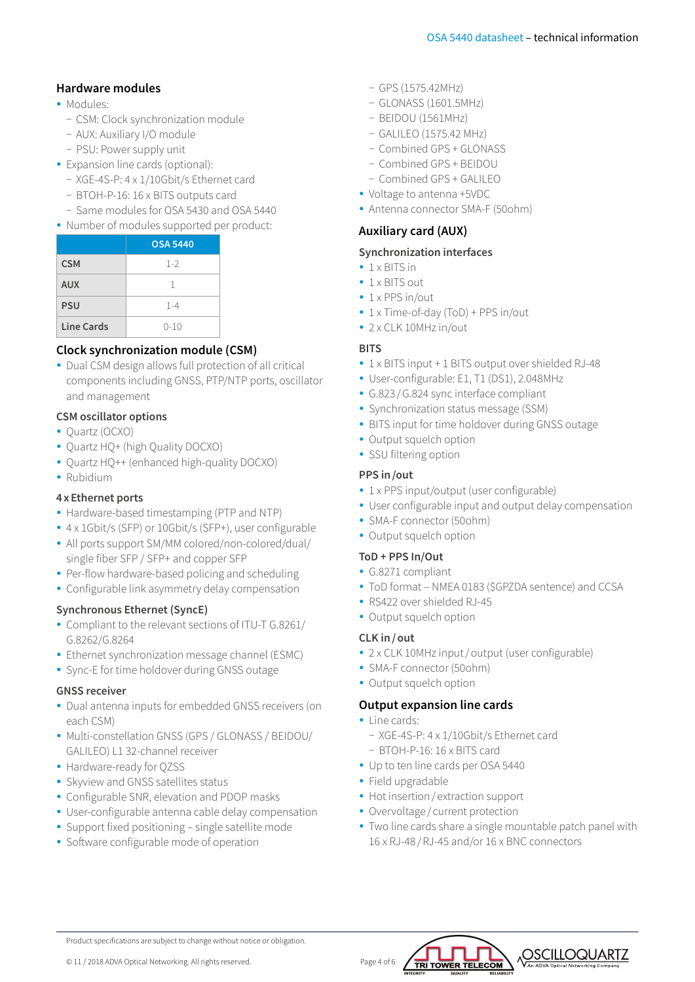# **Hardware modules**

- · Modules:
	- − CSM: Clock synchronization module
	- − AUX: Auxiliary I/O module
	- − PSU: Power supply unit
- Expansion line cards (optional):
	- − XGE-4S-P: 4 x 1/10Gbit/s Ethernet card
	- − BTOH-P-16: 16 x BITS outputs card
	- − Same modules for OSA 5430 and OSA 5440
- Number of modules supported per product:

|            | <b>OSA 5440</b> |
|------------|-----------------|
| <b>CSM</b> | $1 - 2$         |
| <b>AUX</b> | 1               |
| <b>PSU</b> | $1 - 4$         |
| Line Cards | $0 - 10$        |

# **Clock synchronization module (CSM)**

• Dual CSM design allows full protection of all critical components including GNSS, PTP/NTP ports, oscillator and management

### **CSM oscillator options**

- Ouartz (OCXO)
- Quartz HQ+ (high Quality DOCXO)
- Quartz HQ++ (enhanced high-quality DOCXO)
- Rubidium

#### **4xEthernet ports**

- Hardware-based timestamping (PTP and NTP)
- 4 x 1Gbit/s (SFP) or 10Gbit/s (SFP+), user configurable
- All ports support SM/MM colored/non-colored/dual/ single fiber SFP / SFP+ and copper SFP
- Per-flow hardware-based policing and scheduling
- Configurable link asymmetry delay compensation

#### **Synchronous Ethernet (SyncE)**

- Compliant to the relevant sections of ITU-T G.8261/ G.8262/G.8264
- Ethernet synchronization message channel (ESMC)
- Sync-E for time holdover during GNSS outage

#### **GNSS receiver**

- Dual antenna inputs for embedded GNSS receivers (on each CSM)
- Multi-constellation GNSS (GPS / GLONASS / BEIDOU/ GALILEO) L1 32-channel receiver
- Hardware-ready for QZSS
- Skyview and GNSS satellites status
- Configurable SNR, elevation and PDOP masks
- User-configurable antenna cable delay compensation
- Support fixed positioning single satellite mode
- Software configurable mode of operation
- − GPS (1575.42MHz)
- − GLONASS (1601.5MHz)
- − BEIDOU (1561MHz)
- − GALILEO (1575.42 MHz)
- − Combined GPS + GLONASS
- − Combined GPS + BEIDOU
- − Combined GPS + GALILEO
- Voltage to antenna +5VDC
- Antenna connector SMA-F (50ohm)

# **Auxiliary card (AUX)**

#### **Synchronization interfaces**

- $\cdot$  1 x BITS in
- $\cdot$  1 x BITS out
- $\cdot$  1 x PPS in/out
- 1 x Time-of-day (ToD) + PPS in/out
- $\cdot$  2 x CLK 10MHz in/out

### **BITS**

- 1 x BITS input + 1 BITS output over shielded RJ-48
- User-configurable: E1, T1 (DS1), 2.048MHz
- G.823 / G.824 sync interface compliant
- Synchronization status message (SSM)
- BITS input for time holdover during GNSS outage
- Output squelch option
- SSU filtering option

#### **PPS in/out**

- 1 x PPS input/output (user configurable)
- User configurable input and output delay compensation
- SMA-F connector (50ohm)
- Output squelch option

#### **ToD + PPS In/Out**

- G.8271 compliant
- ToD format NMEA 0183 (\$GPZDA sentence) and CCSA
- RS422 over shielded RJ-45
- Output squelch option

#### **CLK in/out**

- 2 x CLK 10MHz input/output (user configurable)
- SMA-F connector (50ohm)
- Output squelch option

# **Output expansion line cards**

- Line cards:
	- − XGE-4S-P: 4 x 1/10Gbit/s Ethernet card
- − BTOH-P-16: 16 x BITS card
- Up to ten line cards per OSA 5440
- Field upgradable
- Hot insertion / extraction support
- Overvoltage / current protection
- Two line cards share a single mountable patch panel with 16 x RJ-48 /RJ-45 and/or 16 x BNC connectors



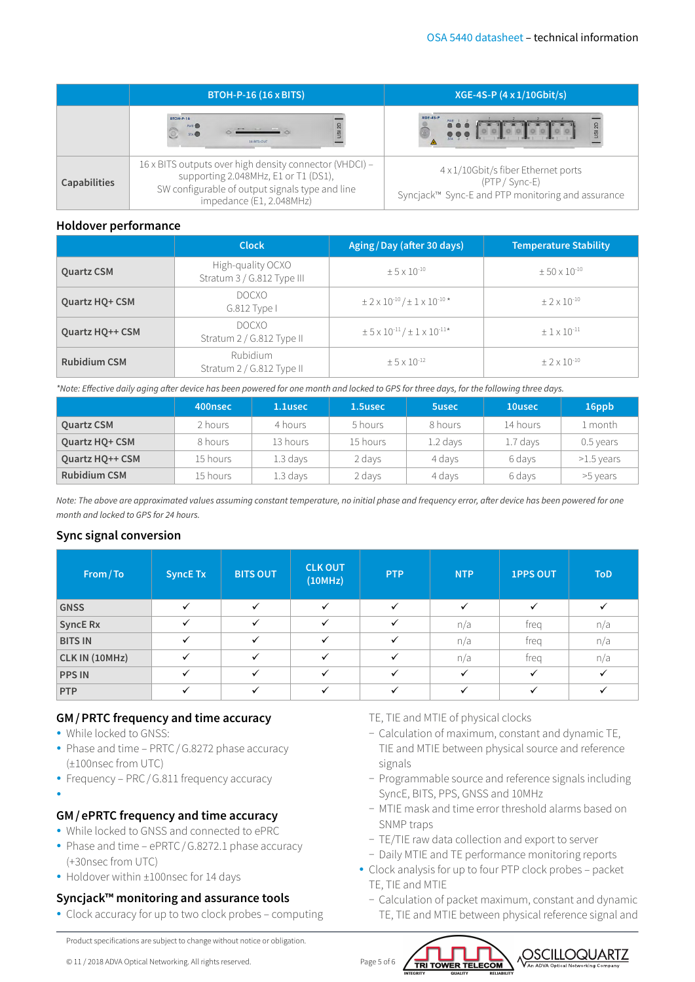|                     | <b>BTOH-P-16 (16 x BITS)</b>                                                                                                                                                   | XGE-4S-P (4 x 1/10Gbit/s)                                                                                  |  |  |
|---------------------|--------------------------------------------------------------------------------------------------------------------------------------------------------------------------------|------------------------------------------------------------------------------------------------------------|--|--|
|                     | <b>BTOH-P-16</b><br>USI <sub>2D</sub><br>PWR <sup></sup><br>STA<br>16 BITS-OUT                                                                                                 | $XGE-4S-P$<br>USI 2D<br>00000000                                                                           |  |  |
| <b>Capabilities</b> | 16 x BITS outputs over high density connector (VHDCI) -<br>supporting 2.048MHz, E1 or T1 (DS1),<br>SW configurable of output signals type and line<br>impedance (E1, 2.048MHz) | 4 x 1/10Gbit/s fiber Ethernet ports<br>(PTP / Sync-E)<br>Syncjack™ Sync-E and PTP monitoring and assurance |  |  |

#### **Holdover performance**

|                     | <b>Clock</b>                                    | Aging/Day (after 30 days)                                              | <b>Temperature Stability</b> |
|---------------------|-------------------------------------------------|------------------------------------------------------------------------|------------------------------|
| <b>Quartz CSM</b>   | High-quality OCXO<br>Stratum 3 / G.812 Type III | $+5 \times 10^{-10}$                                                   | $\pm 50 \times 10^{-10}$     |
| Quartz HQ+ CSM      | <b>DOCXO</b><br>G.812 Type I                    | $\pm$ 2 x 10 <sup>-10</sup> / $\pm$ 1 x 10 <sup>-10</sup> <sup>*</sup> | $+2 \times 10^{-10}$         |
| Quartz HQ++ CSM     | <b>DOCXO</b><br>Stratum 2 / G.812 Type II       | $\pm$ 5 x 10 <sup>-11</sup> / $\pm$ 1 x 10 <sup>-11*</sup>             | $+1 \times 10^{-11}$         |
| <b>Rubidium CSM</b> | <b>Rubidium</b><br>Stratum 2 / G.812 Type II    | $+5 \times 10^{-12}$                                                   | $+2 \times 10^{-10}$         |

*\*Note: Effective daily aging after device has been powered for one month and locked to GPS for three days, for the following three days.*

|                        | 400nsec  | 1.1usec    | 1.5usec  | 5usec    | 10usec   | 16ppb        |
|------------------------|----------|------------|----------|----------|----------|--------------|
| <b>Quartz CSM</b>      | 2 hours  | 4 hours    | 5 hours  | 8 hours  | 14 hours | 1 month      |
| <b>Ouartz HO+ CSM</b>  | 8 hours  | 13 hours   | 15 hours | 1.2 days | 1.7 days | 0.5 years    |
| <b>Ouartz HO++ CSM</b> | 15 hours | 1.3 days   | 2 days   | 4 days   | 6 days   | $>1.5$ years |
| <b>Rubidium CSM</b>    | 15 hours | $1.3$ days | 2 days   | 4 days   | 6 days   | >5 years     |

*Note: The above are approximated values assuming constant temperature, no initial phase and frequency error, after device has been powered for one month and locked to GPS for 24 hours.*

# **Sync signal conversion**

| From/To         | <b>SyncE Tx</b> | <b>BITS OUT</b> | <b>CLK OUT</b><br>(10MHz) | <b>PTP</b>   | <b>NTP</b>   | <b>1PPS OUT</b> | <b>ToD</b>   |
|-----------------|-----------------|-----------------|---------------------------|--------------|--------------|-----------------|--------------|
| <b>GNSS</b>     | $\checkmark$    | ✓               | $\checkmark$              | $\checkmark$ | $\checkmark$ |                 | $\checkmark$ |
| <b>SyncE Rx</b> | $\checkmark$    | ✓               | ✓                         | $\checkmark$ | n/a          | freg            | n/a          |
| <b>BITS IN</b>  | $\checkmark$    | $\checkmark$    | ✓                         | ✓            | n/a          | freg            | n/a          |
| CLK IN (10MHz)  | $\checkmark$    |                 | ✓                         | ✓            | n/a          | freg            | n/a          |
| <b>PPS IN</b>   | $\checkmark$    |                 | $\checkmark$              |              | $\checkmark$ |                 | $\checkmark$ |
| <b>PTP</b>      | $\checkmark$    |                 |                           |              |              |                 |              |

#### **GM/PRTC frequency and time accuracy**

- While locked to GNSS:
- Phase and time PRTC / G.8272 phase accuracy (±100nsec from UTC)
- Frequency PRC/G.811 frequency accuracy
- $\bullet$

# **GM/ePRTC frequency and time accuracy**

- While locked to GNSS and connected to ePRC
- Phase and time ePRTC / G.8272.1 phase accuracy (+30nsec from UTC)
- Holdover within ±100nsec for 14 days

# **Syncjack™ monitoring and assurance tools**

• Clock accuracy for up to two clock probes – computing

Product specifications are subject to change without notice or obligation.

© 11 / 2018 ADVA Optical Networking. All rights reserved. Page 5 of 6

TE, TIE and MTIE of physical clocks

- − Calculation of maximum, constant and dynamic TE, TIE and MTIE between physical source and reference signals
- − Programmable source and reference signals including SyncE, BITS, PPS, GNSS and 10MHz
- − MTIE mask and time error threshold alarms based on SNMP traps
- − TE/TIE raw data collection and export to server
- − Daily MTIE and TE performance monitoring reports
- Clock analysis for up to four PTP clock probes packet TE, TIE and MTIE
	- − Calculation of packet maximum, constant and dynamic TE, TIE and MTIE between physical reference signal and